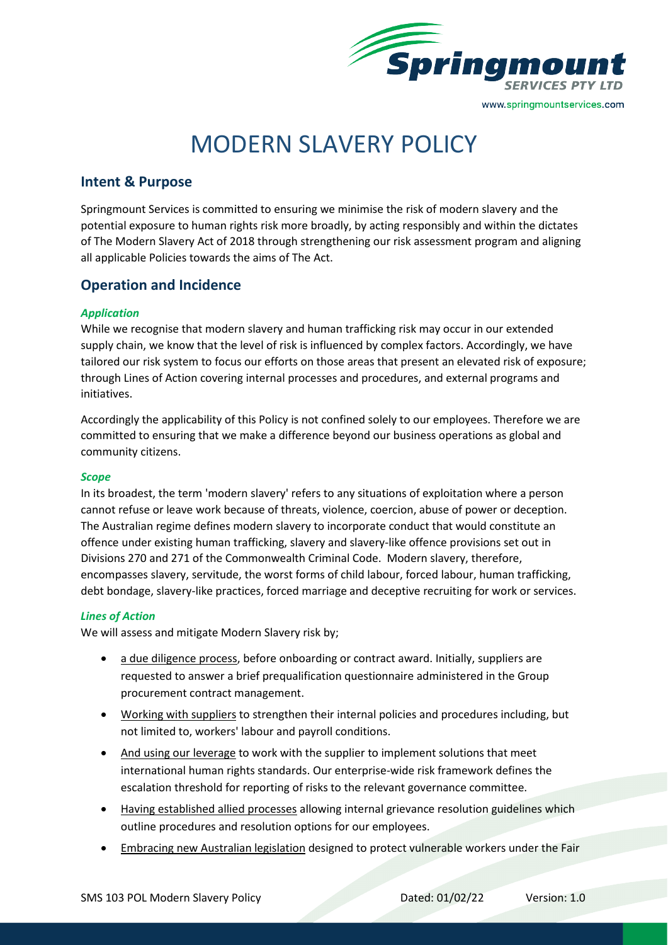

# MODERN SLAVERY POLICY

# **Intent & Purpose**

Springmount Services is committed to ensuring we minimise the risk of modern slavery and the potential exposure to human rights risk more broadly, by acting responsibly and within the dictates of The Modern Slavery Act of 2018 through strengthening our risk assessment program and aligning all applicable Policies towards the aims of The Act.

# **Operation and Incidence**

## *Application*

While we recognise that modern slavery and human trafficking risk may occur in our extended supply chain, we know that the level of risk is influenced by complex factors. Accordingly, we have tailored our risk system to focus our efforts on those areas that present an elevated risk of exposure; through Lines of Action covering internal processes and procedures, and external programs and initiatives.

Accordingly the applicability of this Policy is not confined solely to our employees. Therefore we are committed to ensuring that we make a difference beyond our business operations as global and community citizens.

#### *Scope*

In its broadest, the term 'modern slavery' refers to any situations of exploitation where a person cannot refuse or leave work because of threats, violence, coercion, abuse of power or deception. The Australian regime defines modern slavery to incorporate conduct that would constitute an offence under existing human trafficking, slavery and slavery-like offence provisions set out in Divisions 270 and 271 of the Commonwealth Criminal Code. Modern slavery, therefore, encompasses slavery, servitude, the worst forms of child labour, forced labour, human trafficking, debt bondage, slavery-like practices, forced marriage and deceptive recruiting for work or services.

## *Lines of Action*

We will assess and mitigate Modern Slavery risk by;

- a due diligence process, before onboarding or contract award. Initially, suppliers are requested to answer a brief prequalification questionnaire administered in the Group procurement contract management.
- Working with suppliers to strengthen their internal policies and procedures including, but not limited to, workers' labour and payroll conditions.
- And using our leverage to work with the supplier to implement solutions that meet international human rights standards. Our enterprise-wide risk framework defines the escalation threshold for reporting of risks to the relevant governance committee.
- Having established allied processes allowing internal grievance resolution guidelines which outline procedures and resolution options for our employees.
- Embracing new Australian legislation designed to protect vulnerable workers under the Fair